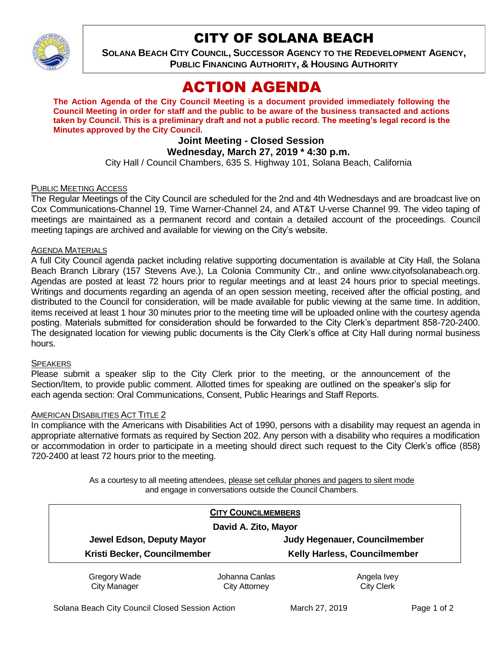

## CITY OF SOLANA BEACH

**SOLANA BEACH CITY COUNCIL, SUCCESSOR AGENCY TO THE REDEVELOPMENT AGENCY, PUBLIC FINANCING AUTHORITY, & HOUSING AUTHORITY** 

# ACTION AGENDA

**The Action Agenda of the City Council Meeting is a document provided immediately following the Council Meeting in order for staff and the public to be aware of the business transacted and actions taken by Council. This is a preliminary draft and not a public record. The meeting's legal record is the Minutes approved by the City Council.**

## **Joint Meeting - Closed Session**

## **Wednesday, March 27, 2019 \* 4:30 p.m.**

City Hall / Council Chambers, 635 S. Highway 101, Solana Beach, California

#### PUBLIC MEETING ACCESS

The Regular Meetings of the City Council are scheduled for the 2nd and 4th Wednesdays and are broadcast live on Cox Communications-Channel 19, Time Warner-Channel 24, and AT&T U-verse Channel 99. The video taping of meetings are maintained as a permanent record and contain a detailed account of the proceedings. Council meeting tapings are archived and available for viewing on the City's website.

#### AGENDA MATERIALS

A full City Council agenda packet including relative supporting documentation is available at City Hall, the Solana Beach Branch Library (157 Stevens Ave.), La Colonia Community Ctr., and online www.cityofsolanabeach.org. Agendas are posted at least 72 hours prior to regular meetings and at least 24 hours prior to special meetings. Writings and documents regarding an agenda of an open session meeting, received after the official posting, and distributed to the Council for consideration, will be made available for public viewing at the same time. In addition, items received at least 1 hour 30 minutes prior to the meeting time will be uploaded online with the courtesy agenda posting. Materials submitted for consideration should be forwarded to the City Clerk's department 858-720-2400. The designated location for viewing public documents is the City Clerk's office at City Hall during normal business hours.

#### **SPEAKERS**

Please submit a speaker slip to the City Clerk prior to the meeting, or the announcement of the Section/Item, to provide public comment. Allotted times for speaking are outlined on the speaker's slip for each agenda section: Oral Communications, Consent, Public Hearings and Staff Reports.

#### AMERICAN DISABILITIES ACT TITLE 2

In compliance with the Americans with Disabilities Act of 1990, persons with a disability may request an agenda in appropriate alternative formats as required by Section 202. Any person with a disability who requires a modification or accommodation in order to participate in a meeting should direct such request to the City Clerk's office (858) 720-2400 at least 72 hours prior to the meeting.

> As a courtesy to all meeting attendees, please set cellular phones and pagers to silent mode and engage in conversations outside the Council Chambers.

|                              | <b>CITY COUNCILMEMBERS</b> |                               |
|------------------------------|----------------------------|-------------------------------|
| David A. Zito, Mayor         |                            |                               |
| Jewel Edson, Deputy Mayor    |                            | Judy Hegenauer, Councilmember |
| Kristi Becker, Councilmember |                            | Kelly Harless, Councilmember  |
| Gregory Wade                 | Johanna Canlas             | Angela Ivey                   |
| <b>City Manager</b>          | City Attorney              | <b>City Clerk</b>             |